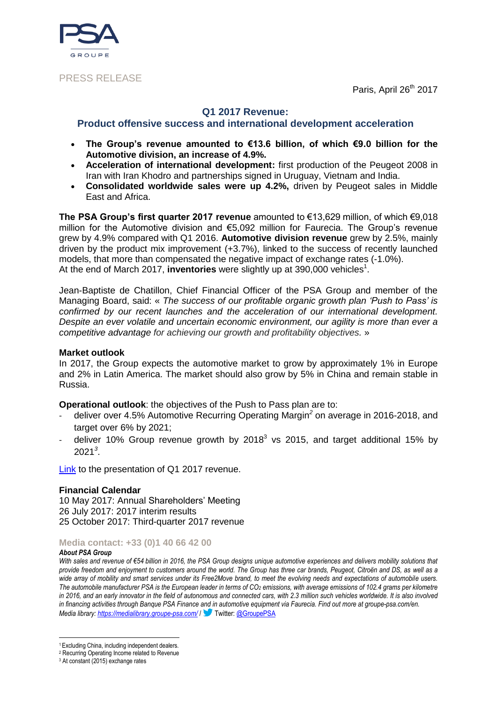Paris, April 26<sup>th</sup> 2017



# PRESS RELEASE

# **Q1 2017 Revenue:**

# **Product offensive success and international development acceleration**

- **The Group's revenue amounted to €13.6 billion, of which €9.0 billion for the Automotive division, an increase of 4.9%.**
- **Acceleration of international development:** first production of the Peugeot 2008 in Iran with Iran Khodro and partnerships signed in Uruguay, Vietnam and India.
- **Consolidated worldwide sales were up 4.2%,** driven by Peugeot sales in Middle East and Africa.

**The PSA Group's first quarter 2017 revenue** amounted to €13,629 million, of which €9,018 million for the Automotive division and  $€5,092$  million for Faurecia. The Group's revenue grew by 4.9% compared with Q1 2016. **Automotive division revenue** grew by 2.5%, mainly driven by the product mix improvement (+3.7%), linked to the success of recently launched models, that more than compensated the negative impact of exchange rates (-1.0%). At the end of March 2017, **inventories** were slightly up at 390,000 vehicles<sup>1</sup>.

Jean-Baptiste de Chatillon, Chief Financial Officer of the PSA Group and member of the Managing Board, said: « *The success of our profitable organic growth plan 'Push to Pass' is confirmed by our recent launches and the acceleration of our international development. Despite an ever volatile and uncertain economic environment, our agility is more than ever a competitive advantage for achieving our growth and profitability objectives.* »

#### **Market outlook**

In 2017, the Group expects the automotive market to grow by approximately 1% in Europe and 2% in Latin America. The market should also grow by 5% in China and remain stable in Russia.

**Operational outlook**: the objectives of the Push to Pass plan are to:

- deliver over 4.5% Automotive Recurring Operating Margin<sup>2</sup> on average in 2016-2018, and target over 6% by 2021;
- deliver 10% Group revenue growth by 2018 $3$  vs 2015, and target additional 15% by 2021*<sup>3</sup>* .

[Link](https://www.groupe-psa.com/en/finance/publications/) to the presentation of Q1 2017 revenue.

#### **Financial Calendar**

10 May 2017: Annual Shareholders' Meeting 26 July 2017: 2017 interim results 25 October 2017: Third-quarter 2017 revenue

#### **Media contact: +33 (0)1 40 66 42 00**

#### *About PSA Group*

<u>.</u>

*With sales and revenue of €54 billion in 2016, the PSA Group designs unique automotive experiences and delivers mobility solutions that provide freedom and enjoyment to customers around the world. The Group has three car brands, Peugeot, Citroën and DS, as well as a wide array of mobility and smart services under its Free2Move brand, to meet the evolving needs and expectations of automobile users. [The automobile manufacturer](https://www.groupe-psa.com/en) PSA is the European leader in terms of CO<sup>2</sup> emissions, with average emissions of 102.4 grams per kilometre in 2016, and an early innovator in the field of autonomous and connected cars, with 2.3 million such vehicles worldwide. It is also involved in financing activities throug[h Banque PSA Finance](http://www.banquepsafinance.com/) and in automotive equipment vi[a Faurecia.](http://www.faurecia.com/en) Find out more at groupe-psa.com/en. Media library:<https://medialibrary.groupe-psa.com/>* / Twitter[: @GroupePSA](http://twitter.com/GroupePSA)

<sup>1</sup> Excluding China, including independent dealers.

<sup>2</sup> Recurring Operating Income related to Revenue

<sup>&</sup>lt;sup>3</sup> At constant (2015) exchange rates